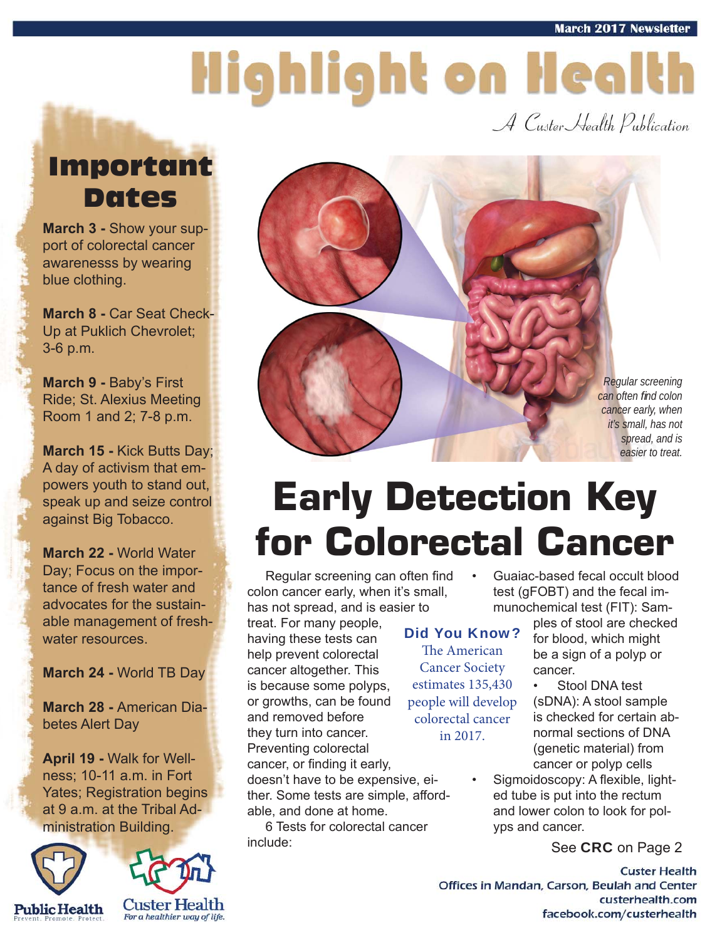# Highlight on Health

A Custer Health Publication

### Important Dates

**March 3 -** Show your support of colorectal cancer awarenesss by wearing blue clothing.

**March 8 -** Car Seat Check-Up at Puklich Chevrolet; 3-6 p.m.

**March 9 -** Baby's First Ride; St. Alexius Meeting Room 1 and 2; 7-8 p.m.

**March 15 -** Kick Butts Day; A day of activism that empowers youth to stand out, speak up and seize control against Big Tobacco.

**March 22 -** World Water Day; Focus on the importance of fresh water and advocates for the sustainable management of freshwater resources.

**March 24 -** World TB Day

**March 28 -** American Diabetes Alert Day

**April 19 -** Walk for Wellness; 10-11 a.m. in Fort Yates; Registration begins at 9 a.m. at the Tribal Administration Building.







## **Early Detection Key for Colorectal Cancer**

Regular screening can often find  $\cdot$ colon cancer early, when it's small, has not spread, and is easier to

treat. For many people, having these tests can help prevent colorectal cancer altogether. This is because some polyps, or growths, can be found and removed before they turn into cancer. Preventing colorectal cancer, or finding it early, doesn't have to be expensive, either. Some tests are simple, afford-

able, and done at home.

 6 Tests for colorectal cancer include:

#### Did You Know?

The American Cancer Society estimates 135,430 people will develop colorectal cancer in 2017.

• Guaiac-based fecal occult blood test (gFOBT) and the fecal immunochemical test (FIT): Sam-

ples of stool are checked for blood, which might be a sign of a polyp or cancer.

Stool DNA test (sDNA): A stool sample is checked for certain abnormal sections of DNA (genetic material) from cancer or polyp cells

Sigmoidoscopy: A flexible, lighted tube is put into the rectum and lower colon to look for polyps and cancer.

See **CRC** on Page 2

**Custer Health** Offices in Mandan, Carson, Beulah and Center custerhealth.com facebook.com/custerhealth